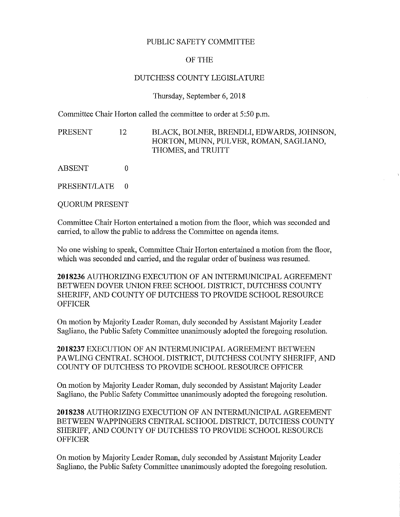## PUBLIC SAFETY COMMITTEE

## OF THE

### DUTCHESS COUNTY LEGISLATURE

### Thursday, September 6, 2018

Committee Chair Horton called the committee to order at 5:50 p.m.

PRESENT 12 BLACK, BOLNER, BRENDLI, EDWARDS,JOHNSON, HORTON, MUNN, PULVER, ROMAN, SAGLIANO, THOMES, and TRUITT

ABSENT 0

PRESENT/LATE 0

QUORUM PRESENT

Committee Chair Horton entertained a motion from the floor, which was seconded and carried, to allow the public to address the Committee on agenda items.

No one wishing to speak, Committee Chair Horton entertained a motion from the floor, which was seconded and carried, and the regular order of business was resumed.

2018236 AUTHORIZING EXECUTION OF AN INTERMUNICIPAL AGREEMENT BETWEEN DOVER UNION FREE SCHOOL DISTRICT, DUTCHESS COUNTY SHERIFF, AND COUNTY OF DUTCHESS TO PROVIDE SCHOOL RESOURCE **OFFICER** 

On motion by Majority Leader Roman, duly seconded by Assistant Majority Leader Sagliano, the Public Safety Committee unanimously adopted the foregoing resolution.

2018237 EXECUTION OF AN INTERMUNICIPAL AGREEMENT BETWEEN PAWLING CENTRAL SCHOOL DISTRICT, DUTCHESS COUNTY SHERIFF, AND COUNTY OF DUTCHESS TO PROVIDE SCHOOL RESOURCE OFFICER

On motion by Majority Leader Roman, duly seconded by Assistant Majority Leader Sagliano, the Public Safety Committee unanimously adopted the foregoing resolution.

2018238 AUTHORIZING EXECUTION OF AN INTERMUNICIPAL AGREEMENT BETWEEN WAPPINGERS CENTRAL SCHOOL DISTRICT, DUTCHESS COUNTY SHERIFF, AND COUNTY OF DUTCHESS TO PROVIDE SCHOOL RESOURCE **OFFICER** 

On motion by Majority Leader Roman, duly seconded by Assistant Majority Leader Sagliano, the Public Safety Committee unanimously adopted the foregoing resolution.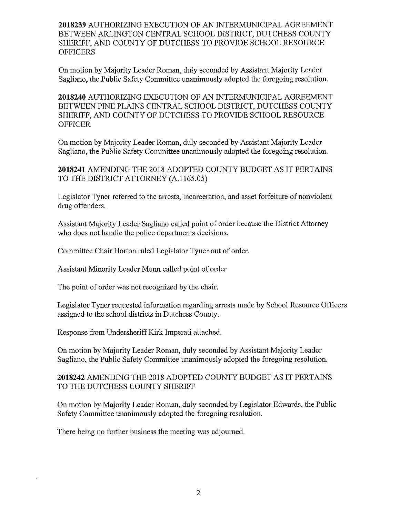2018239 AUTHORIZING EXECUTION OF AN INTERMUNICIPAL AGREEMENT BETWEEN ARLINGTON CENTRAL SCHOOL DISTRICT, DUTCHESS COUNTY SHERIFF, AND COUNTY OF DUTCHESS TO PROVIDE SCHOOL RESOURCE **OFFICERS** 

On motion by Majority Leader Roman, duly seconded by Assistant Majority Leader Sagliano, the Public Safety Committee unanimously adopted the foregoing resolution.

2018240 AUTHORIZING EXECUTION OF AN INTERMUNICIPAL AGREEMENT BETWEEN PINE PLAINS CENTRAL SCHOOL DISTRICT, DUTCHESS COUNTY SHERIFF, AND COUNTY OF DUTCHESS TO PROVIDE SCHOOL RESOURCE **OFFICER** 

On motion by Majority Leader Roman, duly seconded by Assistant Majority Leader Sagliano, the Public Safety Committee unanimously adopted the foregoing resolution.

2018241 AMENDING THE 2018 ADOPTED COUNTY BUDGET AS IT PERTAINS TO THE DISTRICT ATTORNEY (A.l165.05**)**

Legislator Tyner referred to the arrests, incarceration, and asset forfeiture of nonviolent drug offenders.

Assistant Majority Leader Sagliano called point of order because the District Attorney who does not handle the police departments decisions.

Committee Chair Horton ruled Legislator Tyner out of order.

Assistant Minority Leader Munn called point of order

The point of order was not recognized by the chair.

Legislator Tyner requested information regarding arrests made by School Resource Officers assigned to the school districts in Dutchess County.

Response from Undersheriff Kirk Imperati attached.

On motion by Majority Leader Roman, duly seconded by Assistant Majority Leader Sagliano, the Public Safety Committee unanimously adopted the foregoing resolution.

# 2018242 AMENDING THE 2018 ADOPTED COUNTY BUDGET AS IT PERTAINS TO THE DUTCHESS COUNTY SHERIFF

On motion by Majority Leader Roman, duly seconded by Legislator Edwards, the Public Safety Committee unanimously adopted the foregoing resolution.

There being no further business the meeting was adjourned.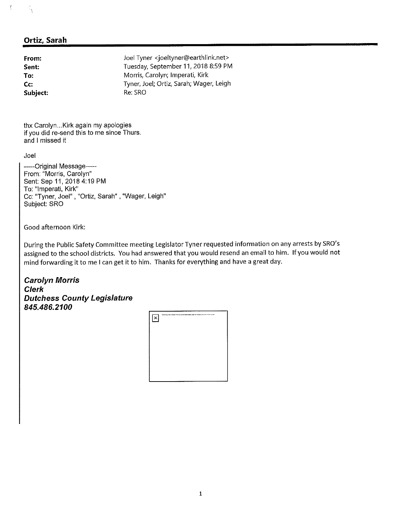# **Ortiz, Sarah**

*\*

 $\mathfrak{f}$ 

| From:    | Joel Tyner <joeltyner@earthlink.net></joeltyner@earthlink.net> |
|----------|----------------------------------------------------------------|
| Sent:    | Tuesday, September 11, 2018 8:59 PM                            |
| To:      | Morris, Carolyn; Imperati, Kirk                                |
| Cc:      | Tyner, Joel; Ortiz, Sarah; Wager, Leigh                        |
| Subject: | Re: SRO                                                        |

thx Carolyn...Kirk again my apologies if you did re-send this to me since Thurs. and I missed it

Joel

------Original Message------From: "Morris, Carolyn" Sent; Sep 11, 2018 4:19 PM To: "Imperati, Kirk" Cc: "Tyner, Joel" "Ortiz, Sarah" , "Wager, Leigh" Subject: SRO

Good afternoon Kirk:

During the Public Safety Committee meeting Legislator Tyner requested information on any arrests by SRO's assigned to the school districts. You had answered that you would resend an email to him. If you would not mind forwarding it to me <sup>I</sup> can get it to him. Thanks for everything and have <sup>a</sup> great day.

*Carolyn Morris Clerk Dutchess County Legislature 845.486.2100*